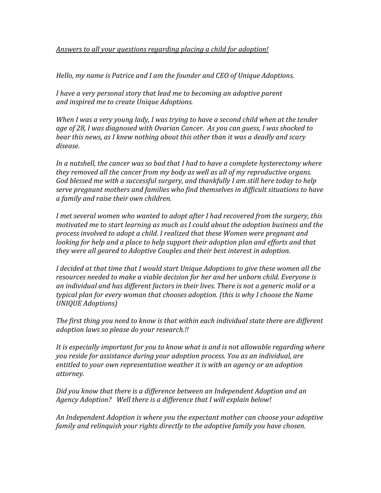## *Answers to all your questions regarding placing a child for adoption!*

*Hello, my name is Patrice and I am the founder and CEO of Unique Adoptions.*

*I have a very personal story that lead me to becoming an adoptive parent and inspired me to create Unique Adoptions.*

*When I was a very young lady, I was trying to have a second child when at the tender age of 28, I was diagnosed with Ovarian Cancer. As you can guess, I was shocked to hear this news, as I knew nothing about this other than it was a deadly and scary disease.* 

*In a nutshell, the cancer was so bad that I had to have a complete hysterectomy where they removed all the cancer from my body as well as all of my reproductive organs. God blessed me with a successful surgery, and thankfully I am still here today to help serve pregnant mothers and families who find themselves in difficult situations to have a family and raise their own children.*

*I met several women who wanted to adopt after I had recovered from the surgery, this motivated me to start learning as much as I could about the adoption business and the process involved to adopt a child. I realized that these Women were pregnant and looking for help and a place to help support their adoption plan and efforts and that they were all geared to Adoptive Couples and their best interest in adoption.*

*I decided at that time that I would start Unique Adoptions to give these women all the resources needed to make a viable decision for her and her unborn child. Everyone is an individual and has different factors in their lives. There is not a generic mold or a typical plan for every woman that chooses adoption. (this is why I choose the Name UNIQUE Adoptions)*

*The first thing you need to know is that within each individual state there are different adoption laws so please do your research.!!*

*It is especially important for you to know what is and is not allowable regarding where you reside for assistance during your adoption process. You as an individual, are entitled to your own representation weather it is with an agency or an adoption attorney.*

*Did you know that there is a difference between an Independent Adoption and an Agency Adoption? Well there is a difference that I will explain below!*

*An Independent Adoption is where you the expectant mother can choose your adoptive family and relinquish your rights directly to the adoptive family you have chosen.*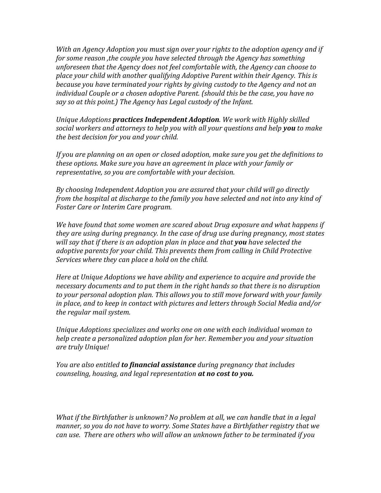*With an Agency Adoption you must sign over your rights to the adoption agency and if for some reason ,the couple you have selected through the Agency has something unforeseen that the Agency does not feel comfortable with, the Agency can choose to place your child with another qualifying Adoptive Parent within their Agency. This is because you have terminated your rights by giving custody to the Agency and not an individual Couple or a chosen adoptive Parent. (should this be the case, you have no say so at this point.) The Agency has Legal custody of the Infant.*

*Unique Adoptions practices Independent Adoption. We work with Highly skilled social workers and attorneys to help you with all your questions and help you to make the best decision for you and your child.*

*If you are planning on an open or closed adoption, make sure you get the definitions to these options. Make sure you have an agreement in place with your family or representative, so you are comfortable with your decision.*

*By choosing Independent Adoption you are assured that your child will go directly from the hospital at discharge to the family you have selected and not into any kind of Foster Care or Interim Care program.*

*We have found that some women are scared about Drug exposure and what happens if they are using during pregnancy. In the case of drug use during pregnancy, most states will say that if there is an adoption plan in place and that you have selected the adoptive parents for your child. This prevents them from calling in Child Protective Services where they can place a hold on the child.*

*Here at Unique Adoptions we have ability and experience to acquire and provide the necessary documents and to put them in the right hands so that there is no disruption to your personal adoption plan. This allows you to still move forward with your family in place, and to keep in contact with pictures and letters through Social Media and/or the regular mail system.*

*Unique Adoptions specializes and works one on one with each individual woman to help create a personalized adoption plan for her. Remember you and your situation are truly Unique!*

*You are also entitled to financial assistance during pregnancy that includes counseling, housing, and legal representation at no cost to you.*

*What if the Birthfather is unknown? No problem at all, we can handle that in a legal manner, so you do not have to worry. Some States have a Birthfather registry that we can use. There are others who will allow an unknown father to be terminated if you*